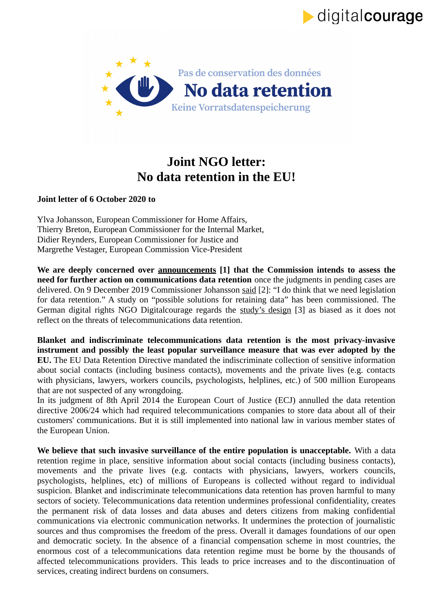

digitalcourage

## **Joint NGO letter: No data retention in the EU!**

## **Joint letter of 6 October 2020 to**

Ylva Johansson, European Commissioner for Home Affairs, Thierry Breton, European Commissioner for the Internal Market, Didier Reynders, European Commissioner for Justice and Margrethe Vestager, European Commission Vice-President

**We are deeply concerned over announcements [1] that the Commission intends to assess the need for further action on communications data retention** once the judgments in pending cases are delivered. On 9 December 2019 Commissioner Johansson said [2]: "I do think that we need legislation for data retention." A study on "possible solutions for retaining data" has been commissioned. The German digital rights NGO Digitalcourage regards the study's design [3] as biased as it does not reflect on the threats of telecommunications data retention.

**Blanket and indiscriminate telecommunications data retention is the most privacy-invasive instrument and possibly the least popular surveillance measure that was ever adopted by the EU.** The EU Data Retention Directive mandated the indiscriminate collection of sensitive information about social contacts (including business contacts), movements and the private lives (e.g. contacts with physicians, lawyers, workers councils, psychologists, helplines, etc.) of 500 million Europeans that are not suspected of any wrongdoing.

In its judgment of 8th April 2014 the European Court of Justice (ECJ) annulled the data retention directive 2006/24 which had required telecommunications companies to store data about all of their customers' communications. But it is still implemented into national law in various member states of the European Union.

**We believe that such invasive surveillance of the entire population is unacceptable.** With a data retention regime in place, sensitive information about social contacts (including business contacts), movements and the private lives (e.g. contacts with physicians, lawyers, workers councils, psychologists, helplines, etc) of millions of Europeans is collected without regard to individual suspicion. Blanket and indiscriminate telecommunications data retention has proven harmful to many sectors of society. Telecommunications data retention undermines professional confidentiality, creates the permanent risk of data losses and data abuses and deters citizens from making confidential communications via electronic communication networks. It undermines the protection of journalistic sources and thus compromises the freedom of the press. Overall it damages foundations of our open and democratic society. In the absence of a financial compensation scheme in most countries, the enormous cost of a telecommunications data retention regime must be borne by the thousands of affected telecommunications providers. This leads to price increases and to the discontinuation of services, creating indirect burdens on consumers.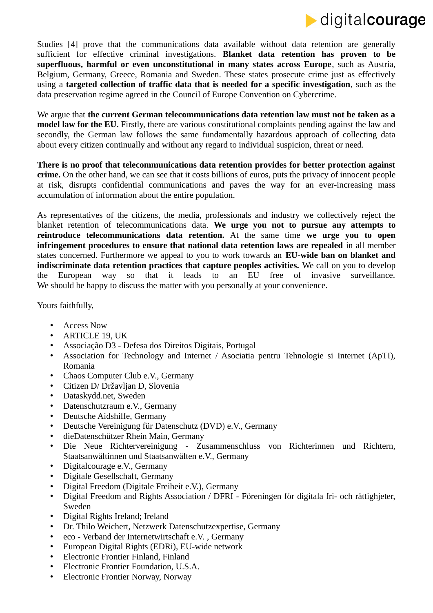

Studies [4] prove that the communications data available without data retention are generally sufficient for effective criminal investigations. **Blanket data retention has proven to be superfluous, harmful or even unconstitutional in many states across Europe**, such as Austria, Belgium, Germany, Greece, Romania and Sweden. These states prosecute crime just as effectively using a **targeted collection of traffic data that is needed for a specific investigation**, such as the data preservation regime agreed in the Council of Europe Convention on Cybercrime.

We argue that **the current German telecommunications data retention law must not be taken as a model law for the EU.** Firstly, there are various constitutional complaints pending against the law and secondly, the German law follows the same fundamentally hazardous approach of collecting data about every citizen continually and without any regard to individual suspicion, threat or need.

**There is no proof that telecommunications data retention provides for better protection against crime.** On the other hand, we can see that it costs billions of euros, puts the privacy of innocent people at risk, disrupts confidential communications and paves the way for an ever-increasing mass accumulation of information about the entire population.

As representatives of the citizens, the media, professionals and industry we collectively reject the blanket retention of telecommunications data. **We urge you not to pursue any attempts to reintroduce telecommunications data retention.** At the same time **we urge you to open infringement procedures to ensure that national data retention laws are repealed** in all member states concerned. Furthermore we appeal to you to work towards an **EU-wide ban on blanket and indiscriminate data retention practices that capture peoples activities.** We call on you to develop the European way so that it leads to an EU free of invasive surveillance. We should be happy to discuss the matter with you personally at your convenience.

Yours faithfully,

- Access Now
- ARTICLE 19, UK
- Associação D3 Defesa dos Direitos Digitais, Portugal
- Association for Technology and Internet / Asociatia pentru Tehnologie si Internet (ApTI), Romania
- Chaos Computer Club e.V., Germany
- Citizen D/ Državljan D, Slovenia
- Dataskydd.net, Sweden
- Datenschutzraum e.V., Germany
- Deutsche Aidshilfe, Germany
- Deutsche Vereinigung für Datenschutz (DVD) e.V., Germany
- dieDatenschützer Rhein Main, Germany
- Die Neue Richtervereinigung Zusammenschluss von Richterinnen und Richtern, Staatsanwältinnen und Staatsanwälten e.V., Germany
- Digitalcourage e.V., Germany
- Digitale Gesellschaft, Germany
- Digital Freedom (Digitale Freiheit e.V.), Germany
- Digital Freedom and Rights Association / DFRI Föreningen för digitala fri- och rättighjeter, Sweden
- Digital Rights Ireland; Ireland
- Dr. Thilo Weichert, Netzwerk Datenschutzexpertise, Germany
- eco Verband der Internetwirtschaft e.V. , Germany
- European Digital Rights (EDRi), EU-wide network
- Electronic Frontier Finland, Finland
- Electronic Frontier Foundation, U.S.A.
- Electronic Frontier Norway, Norway